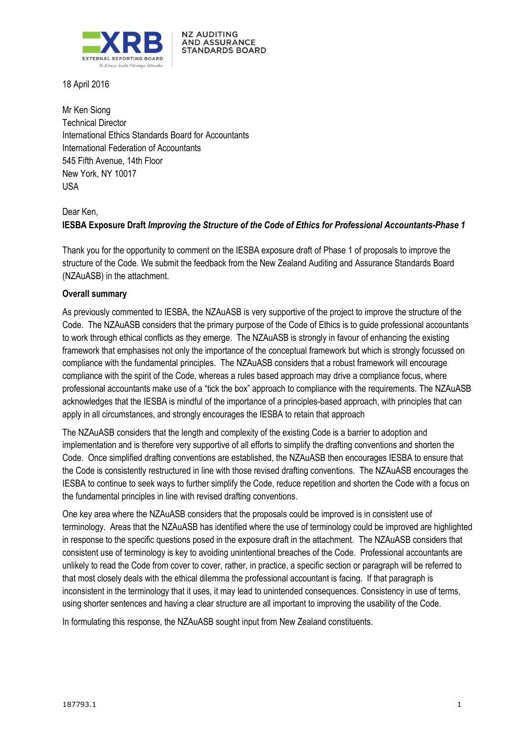

**NZ AUDITING AND ASSURANCE** STANDARDS BOARD

18 April 2016

Mr Ken Siong Technical Director International Ethics Standards Board for Accountants International Federation of Accountants 545 Fifth Avenue, 14th Floor New York, NY 10017 USA

# Dear Ken, **IESBA Exposure Draft** *Improving the Structure of the Code of Ethics for Professional Accountants-Phase 1*

Thank you for the opportunity to comment on the IESBA exposure draft of Phase 1 of proposals to improve the structure of the Code. We submit the feedback from the New Zealand Auditing and Assurance Standards Board (NZAuASB) in the attachment.

### **Overall summary**

As previously commented to IESBA, the NZAuASB is very supportive of the project to improve the structure of the Code. The NZAuASB considers that the primary purpose of the Code of Ethics is to guide professional accountants to work through ethical conflicts as they emerge. The NZAuASB is strongly in favour of enhancing the existing framework that emphasises not only the importance of the conceptual framework but which is strongly focussed on compliance with the fundamental principles. The NZAuASB considers that a robust framework will encourage compliance with the spirit of the Code, whereas a rules based approach may drive a compliance focus, where professional accountants make use of a "tick the box" approach to compliance with the requirements. The NZAuASB acknowledges that the IESBA is mindful of the importance of a principles-based approach, with principles that can apply in all circumstances, and strongly encourages the IESBA to retain that approach

The NZAuASB considers that the length and complexity of the existing Code is a barrier to adoption and implementation and is therefore very supportive of all efforts to simplify the drafting conventions and shorten the Code. Once simplified drafting conventions are established, the NZAuASB then encourages IESBA to ensure that the Code is consistently restructured in line with those revised drafting conventions. The NZAuASB encourages the IESBA to continue to seek ways to further simplify the Code, reduce repetition and shorten the Code with a focus on the fundamental principles in line with revised drafting conventions.

One key area where the NZAuASB considers that the proposals could be improved is in consistent use of terminology. Areas that the NZAuASB has identified where the use of terminology could be improved are highlighted in response to the specific questions posed in the exposure draft in the attachment. The NZAuASB considers that consistent use of terminology is key to avoiding unintentional breaches of the Code. Professional accountants are unlikely to read the Code from cover to cover, rather, in practice, a specific section or paragraph will be referred to that most closely deals with the ethical dilemma the professional accountant is facing. If that paragraph is inconsistent in the terminology that it uses, it may lead to unintended consequences. Consistency in use of terms, using shorter sentences and having a clear structure are all important to improving the usability of the Code.

In formulating this response, the NZAuASB sought input from New Zealand constituents.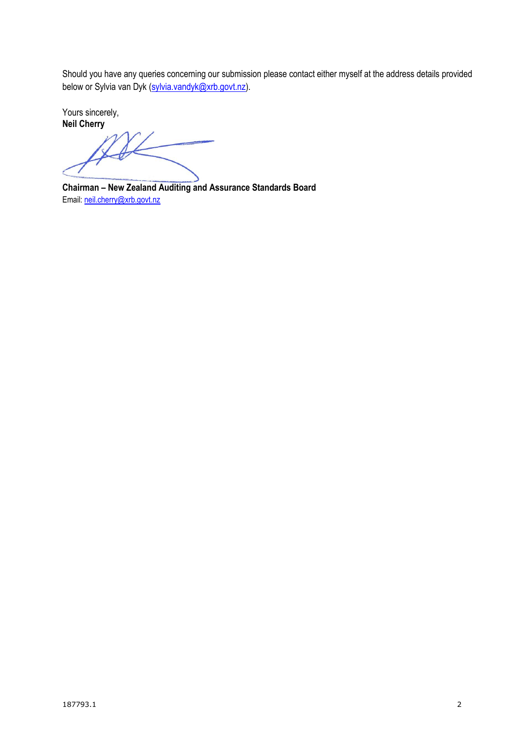Should you have any queries concerning our submission please contact either myself at the address details provided below or Sylvia van Dyk [\(sylvia.vandyk@xrb.govt.nz\)](mailto:sylvia.vandyk@xrb.govt.nz).

Yours sincerely, **Neil Cherry**

**Chairman – New Zealand Auditing and Assurance Standards Board** Email: [neil.cherry@xrb.govt.nz](mailto:neil.cherry@xtra.co.nz)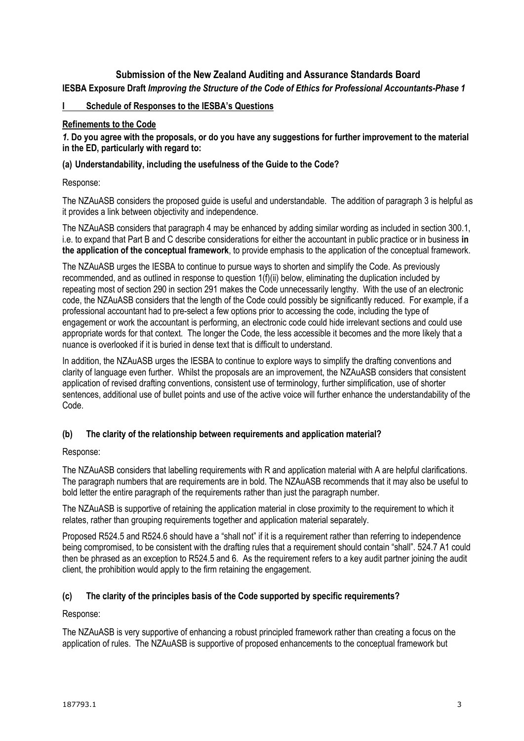## **Submission of the New Zealand Auditing and Assurance Standards Board IESBA Exposure Draft** *Improving the Structure of the Code of Ethics for Professional Accountants-Phase 1*

#### **I Schedule of Responses to the IESBA's Questions**

#### **Refinements to the Code**

*1.* **Do you agree with the proposals, or do you have any suggestions for further improvement to the material in the ED, particularly with regard to:**

#### **(a) Understandability, including the usefulness of the Guide to the Code?**

Response:

The NZAuASB considers the proposed guide is useful and understandable. The addition of paragraph 3 is helpful as it provides a link between objectivity and independence.

The NZAuASB considers that paragraph 4 may be enhanced by adding similar wording as included in section 300.1, i.e. to expand that Part B and C describe considerations for either the accountant in public practice or in business **in the application of the conceptual framework**, to provide emphasis to the application of the conceptual framework.

The NZAuASB urges the IESBA to continue to pursue ways to shorten and simplify the Code. As previously recommended, and as outlined in response to question 1(f)(ii) below, eliminating the duplication included by repeating most of section 290 in section 291 makes the Code unnecessarily lengthy. With the use of an electronic code, the NZAuASB considers that the length of the Code could possibly be significantly reduced. For example, if a professional accountant had to pre-select a few options prior to accessing the code, including the type of engagement or work the accountant is performing, an electronic code could hide irrelevant sections and could use appropriate words for that context. The longer the Code, the less accessible it becomes and the more likely that a nuance is overlooked if it is buried in dense text that is difficult to understand.

In addition, the NZAuASB urges the IESBA to continue to explore ways to simplify the drafting conventions and clarity of language even further. Whilst the proposals are an improvement, the NZAuASB considers that consistent application of revised drafting conventions, consistent use of terminology, further simplification, use of shorter sentences, additional use of bullet points and use of the active voice will further enhance the understandability of the Code.

### **(b) The clarity of the relationship between requirements and application material?**

Response:

The NZAuASB considers that labelling requirements with R and application material with A are helpful clarifications. The paragraph numbers that are requirements are in bold. The NZAuASB recommends that it may also be useful to bold letter the entire paragraph of the requirements rather than just the paragraph number.

The NZAuASB is supportive of retaining the application material in close proximity to the requirement to which it relates, rather than grouping requirements together and application material separately.

Proposed R524.5 and R524.6 should have a "shall not" if it is a requirement rather than referring to independence being compromised, to be consistent with the drafting rules that a requirement should contain "shall". 524.7 A1 could then be phrased as an exception to R524.5 and 6. As the requirement refers to a key audit partner joining the audit client, the prohibition would apply to the firm retaining the engagement.

### **(c) The clarity of the principles basis of the Code supported by specific requirements?**

#### Response:

The NZAuASB is very supportive of enhancing a robust principled framework rather than creating a focus on the application of rules. The NZAuASB is supportive of proposed enhancements to the conceptual framework but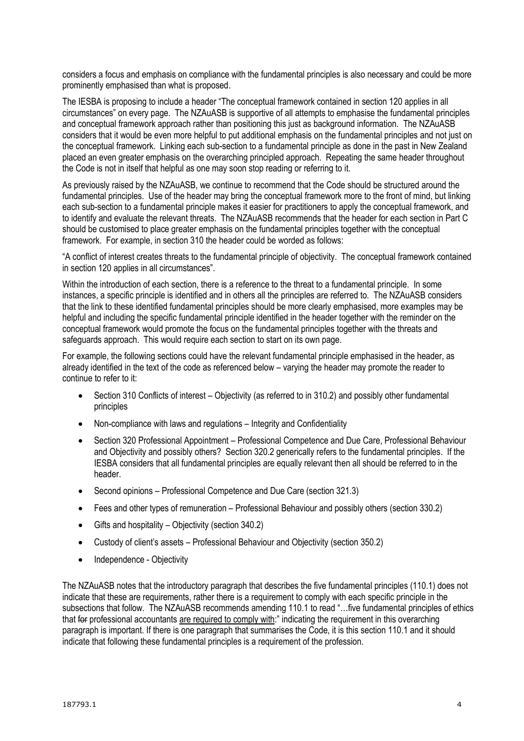considers a focus and emphasis on compliance with the fundamental principles is also necessary and could be more prominently emphasised than what is proposed.

The IESBA is proposing to include a header "The conceptual framework contained in section 120 applies in all circumstances" on every page. The NZAuASB is supportive of all attempts to emphasise the fundamental principles and conceptual framework approach rather than positioning this just as background information. The NZAuASB considers that it would be even more helpful to put additional emphasis on the fundamental principles and not just on the conceptual framework. Linking each sub-section to a fundamental principle as done in the past in New Zealand placed an even greater emphasis on the overarching principled approach. Repeating the same header throughout the Code is not in itself that helpful as one may soon stop reading or referring to it.

As previously raised by the NZAuASB, we continue to recommend that the Code should be structured around the fundamental principles. Use of the header may bring the conceptual framework more to the front of mind, but linking each sub-section to a fundamental principle makes it easier for practitioners to apply the conceptual framework, and to identify and evaluate the relevant threats. The NZAuASB recommends that the header for each section in Part C should be customised to place greater emphasis on the fundamental principles together with the conceptual framework. For example, in section 310 the header could be worded as follows:

"A conflict of interest creates threats to the fundamental principle of objectivity. The conceptual framework contained in section 120 applies in all circumstances".

Within the introduction of each section, there is a reference to the threat to a fundamental principle. In some instances, a specific principle is identified and in others all the principles are referred to. The NZAuASB considers that the link to these identified fundamental principles should be more clearly emphasised, more examples may be helpful and including the specific fundamental principle identified in the header together with the reminder on the conceptual framework would promote the focus on the fundamental principles together with the threats and safeguards approach. This would require each section to start on its own page.

For example, the following sections could have the relevant fundamental principle emphasised in the header, as already identified in the text of the code as referenced below – varying the header may promote the reader to continue to refer to it:

- Section 310 Conflicts of interest Objectivity (as referred to in 310.2) and possibly other fundamental principles
- Non-compliance with laws and regulations Integrity and Confidentiality
- Section 320 Professional Appointment Professional Competence and Due Care, Professional Behaviour and Objectivity and possibly others? Section 320.2 generically refers to the fundamental principles. If the IESBA considers that all fundamental principles are equally relevant then all should be referred to in the header.
- Second opinions Professional Competence and Due Care (section 321.3)
- Fees and other types of remuneration Professional Behaviour and possibly others (section 330.2)
- Gifts and hospitality Objectivity (section 340.2)
- Custody of client's assets Professional Behaviour and Objectivity (section 350.2)
- Independence Objectivity

The NZAuASB notes that the introductory paragraph that describes the five fundamental principles (110.1) does not indicate that these are requirements, rather there is a requirement to comply with each specific principle in the subsections that follow. The NZAuASB recommends amending 110.1 to read "…five fundamental principles of ethics that for professional accountants are required to comply with:" indicating the requirement in this overarching paragraph is important. If there is one paragraph that summarises the Code, it is this section 110.1 and it should indicate that following these fundamental principles is a requirement of the profession.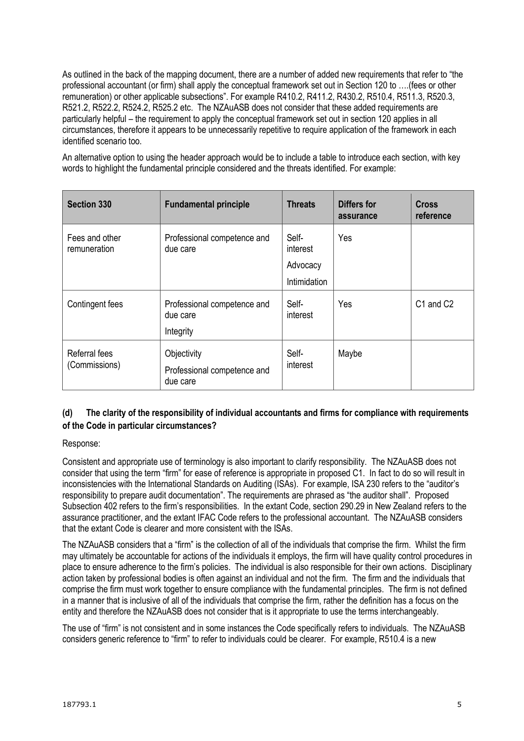As outlined in the back of the mapping document, there are a number of added new requirements that refer to "the professional accountant (or firm) shall apply the conceptual framework set out in Section 120 to ….(fees or other remuneration) or other applicable subsections". For example R410.2, R411.2, R430.2, R510.4, R511.3, R520.3, R521.2, R522.2, R524.2, R525.2 etc. The NZAuASB does not consider that these added requirements are particularly helpful – the requirement to apply the conceptual framework set out in section 120 applies in all circumstances, therefore it appears to be unnecessarily repetitive to require application of the framework in each identified scenario too.

An alternative option to using the header approach would be to include a table to introduce each section, with key words to highlight the fundamental principle considered and the threats identified. For example:

| <b>Section 330</b>             | <b>Fundamental principle</b>            | <b>Threats</b>                | <b>Differs for</b><br>assurance | <b>Cross</b><br>reference |
|--------------------------------|-----------------------------------------|-------------------------------|---------------------------------|---------------------------|
| Fees and other<br>remuneration | Professional competence and<br>due care | Self-<br>interest<br>Advocacy | Yes                             |                           |
|                                |                                         | <b>Intimidation</b>           |                                 |                           |
| Contingent fees                | Professional competence and<br>due care | Self-<br>interest             | Yes                             | C1 and C2                 |
|                                | Integrity                               |                               |                                 |                           |
| Referral fees<br>(Commissions) | Objectivity                             | Self-<br>interest             | Maybe                           |                           |
|                                | Professional competence and<br>due care |                               |                                 |                           |

## **(d) The clarity of the responsibility of individual accountants and firms for compliance with requirements of the Code in particular circumstances?**

### Response:

Consistent and appropriate use of terminology is also important to clarify responsibility. The NZAuASB does not consider that using the term "firm" for ease of reference is appropriate in proposed C1. In fact to do so will result in inconsistencies with the International Standards on Auditing (ISAs). For example, ISA 230 refers to the "auditor's responsibility to prepare audit documentation". The requirements are phrased as "the auditor shall". Proposed Subsection 402 refers to the firm's responsibilities. In the extant Code, section 290.29 in New Zealand refers to the assurance practitioner, and the extant IFAC Code refers to the professional accountant. The NZAuASB considers that the extant Code is clearer and more consistent with the ISAs.

The NZAuASB considers that a "firm" is the collection of all of the individuals that comprise the firm. Whilst the firm may ultimately be accountable for actions of the individuals it employs, the firm will have quality control procedures in place to ensure adherence to the firm's policies. The individual is also responsible for their own actions. Disciplinary action taken by professional bodies is often against an individual and not the firm. The firm and the individuals that comprise the firm must work together to ensure compliance with the fundamental principles. The firm is not defined in a manner that is inclusive of all of the individuals that comprise the firm, rather the definition has a focus on the entity and therefore the NZAuASB does not consider that is it appropriate to use the terms interchangeably.

The use of "firm" is not consistent and in some instances the Code specifically refers to individuals. The NZAuASB considers generic reference to "firm" to refer to individuals could be clearer. For example, R510.4 is a new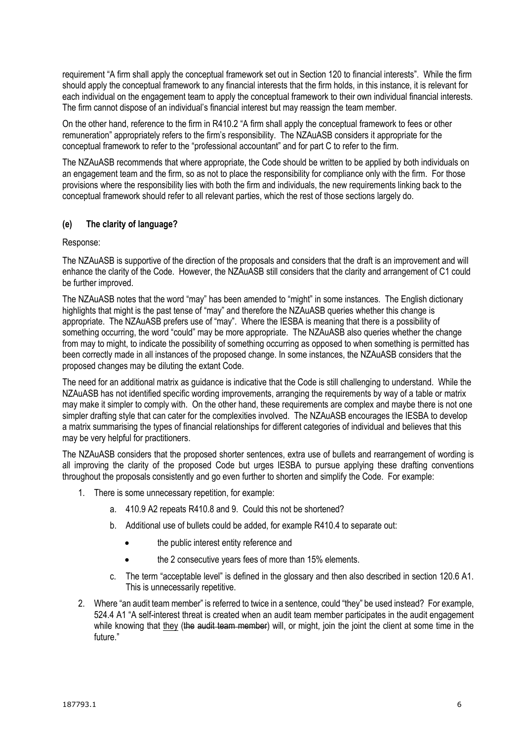requirement "A firm shall apply the conceptual framework set out in Section 120 to financial interests". While the firm should apply the conceptual framework to any financial interests that the firm holds, in this instance, it is relevant for each individual on the engagement team to apply the conceptual framework to their own individual financial interests. The firm cannot dispose of an individual's financial interest but may reassign the team member.

On the other hand, reference to the firm in R410.2 "A firm shall apply the conceptual framework to fees or other remuneration" appropriately refers to the firm's responsibility. The NZAuASB considers it appropriate for the conceptual framework to refer to the "professional accountant" and for part C to refer to the firm.

The NZAuASB recommends that where appropriate, the Code should be written to be applied by both individuals on an engagement team and the firm, so as not to place the responsibility for compliance only with the firm. For those provisions where the responsibility lies with both the firm and individuals, the new requirements linking back to the conceptual framework should refer to all relevant parties, which the rest of those sections largely do.

### **(e) The clarity of language?**

Response:

The NZAuASB is supportive of the direction of the proposals and considers that the draft is an improvement and will enhance the clarity of the Code. However, the NZAuASB still considers that the clarity and arrangement of C1 could be further improved.

The NZAuASB notes that the word "may" has been amended to "might" in some instances. The English dictionary highlights that might is the past tense of "may" and therefore the NZAuASB queries whether this change is appropriate. The NZAuASB prefers use of "may". Where the IESBA is meaning that there is a possibility of something occurring, the word "could" may be more appropriate. The NZAuASB also queries whether the change from may to might, to indicate the possibility of something occurring as opposed to when something is permitted has been correctly made in all instances of the proposed change. In some instances, the NZAuASB considers that the proposed changes may be diluting the extant Code.

The need for an additional matrix as guidance is indicative that the Code is still challenging to understand. While the NZAuASB has not identified specific wording improvements, arranging the requirements by way of a table or matrix may make it simpler to comply with. On the other hand, these requirements are complex and maybe there is not one simpler drafting style that can cater for the complexities involved. The NZAuASB encourages the IESBA to develop a matrix summarising the types of financial relationships for different categories of individual and believes that this may be very helpful for practitioners.

The NZAuASB considers that the proposed shorter sentences, extra use of bullets and rearrangement of wording is all improving the clarity of the proposed Code but urges IESBA to pursue applying these drafting conventions throughout the proposals consistently and go even further to shorten and simplify the Code. For example:

- 1. There is some unnecessary repetition, for example:
	- a. 410.9 A2 repeats R410.8 and 9. Could this not be shortened?
	- b. Additional use of bullets could be added, for example R410.4 to separate out:
		- the public interest entity reference and
		- the 2 consecutive years fees of more than 15% elements.
	- c. The term "acceptable level" is defined in the glossary and then also described in section 120.6 A1. This is unnecessarily repetitive.
- 2. Where "an audit team member" is referred to twice in a sentence, could "they" be used instead? For example, 524.4 A1 "A self-interest threat is created when an audit team member participates in the audit engagement while knowing that they (the audit team member) will, or might, join the joint the client at some time in the future."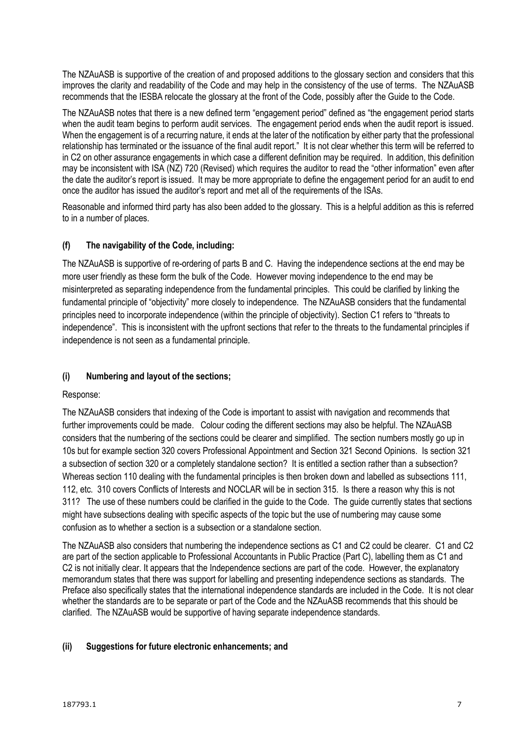The NZAuASB is supportive of the creation of and proposed additions to the glossary section and considers that this improves the clarity and readability of the Code and may help in the consistency of the use of terms. The NZAuASB recommends that the IESBA relocate the glossary at the front of the Code, possibly after the Guide to the Code.

The NZAuASB notes that there is a new defined term "engagement period" defined as "the engagement period starts when the audit team begins to perform audit services. The engagement period ends when the audit report is issued. When the engagement is of a recurring nature, it ends at the later of the notification by either party that the professional relationship has terminated or the issuance of the final audit report." It is not clear whether this term will be referred to in C2 on other assurance engagements in which case a different definition may be required. In addition, this definition may be inconsistent with ISA (NZ) 720 (Revised) which requires the auditor to read the "other information" even after the date the auditor's report is issued. It may be more appropriate to define the engagement period for an audit to end once the auditor has issued the auditor's report and met all of the requirements of the ISAs.

Reasonable and informed third party has also been added to the glossary. This is a helpful addition as this is referred to in a number of places.

## **(f) The navigability of the Code, including:**

The NZAuASB is supportive of re-ordering of parts B and C. Having the independence sections at the end may be more user friendly as these form the bulk of the Code. However moving independence to the end may be misinterpreted as separating independence from the fundamental principles. This could be clarified by linking the fundamental principle of "objectivity" more closely to independence. The NZAuASB considers that the fundamental principles need to incorporate independence (within the principle of objectivity). Section C1 refers to "threats to independence". This is inconsistent with the upfront sections that refer to the threats to the fundamental principles if independence is not seen as a fundamental principle.

## **(i) Numbering and layout of the sections;**

Response:

The NZAuASB considers that indexing of the Code is important to assist with navigation and recommends that further improvements could be made. Colour coding the different sections may also be helpful. The NZAuASB considers that the numbering of the sections could be clearer and simplified. The section numbers mostly go up in 10s but for example section 320 covers Professional Appointment and Section 321 Second Opinions. Is section 321 a subsection of section 320 or a completely standalone section? It is entitled a section rather than a subsection? Whereas section 110 dealing with the fundamental principles is then broken down and labelled as subsections 111, 112, etc. 310 covers Conflicts of Interests and NOCLAR will be in section 315. Is there a reason why this is not 311? The use of these numbers could be clarified in the guide to the Code. The guide currently states that sections might have subsections dealing with specific aspects of the topic but the use of numbering may cause some confusion as to whether a section is a subsection or a standalone section.

The NZAuASB also considers that numbering the independence sections as C1 and C2 could be clearer. C1 and C2 are part of the section applicable to Professional Accountants in Public Practice (Part C), labelling them as C1 and C2 is not initially clear. It appears that the Independence sections are part of the code. However, the explanatory memorandum states that there was support for labelling and presenting independence sections as standards. The Preface also specifically states that the international independence standards are included in the Code. It is not clear whether the standards are to be separate or part of the Code and the NZAuASB recommends that this should be clarified. The NZAuASB would be supportive of having separate independence standards.

### **(ii) Suggestions for future electronic enhancements; and**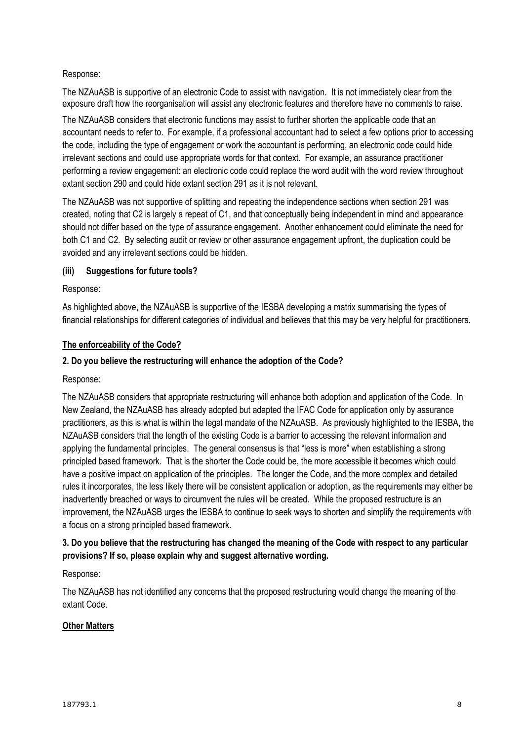## Response:

The NZAuASB is supportive of an electronic Code to assist with navigation. It is not immediately clear from the exposure draft how the reorganisation will assist any electronic features and therefore have no comments to raise.

The NZAuASB considers that electronic functions may assist to further shorten the applicable code that an accountant needs to refer to. For example, if a professional accountant had to select a few options prior to accessing the code, including the type of engagement or work the accountant is performing, an electronic code could hide irrelevant sections and could use appropriate words for that context. For example, an assurance practitioner performing a review engagement: an electronic code could replace the word audit with the word review throughout extant section 290 and could hide extant section 291 as it is not relevant.

The NZAuASB was not supportive of splitting and repeating the independence sections when section 291 was created, noting that C2 is largely a repeat of C1, and that conceptually being independent in mind and appearance should not differ based on the type of assurance engagement. Another enhancement could eliminate the need for both C1 and C2. By selecting audit or review or other assurance engagement upfront, the duplication could be avoided and any irrelevant sections could be hidden.

### **(iii) Suggestions for future tools?**

### Response:

As highlighted above, the NZAuASB is supportive of the IESBA developing a matrix summarising the types of financial relationships for different categories of individual and believes that this may be very helpful for practitioners.

### **The enforceability of the Code?**

### **2. Do you believe the restructuring will enhance the adoption of the Code?**

### Response:

The NZAuASB considers that appropriate restructuring will enhance both adoption and application of the Code. In New Zealand, the NZAuASB has already adopted but adapted the IFAC Code for application only by assurance practitioners, as this is what is within the legal mandate of the NZAuASB. As previously highlighted to the IESBA, the NZAuASB considers that the length of the existing Code is a barrier to accessing the relevant information and applying the fundamental principles. The general consensus is that "less is more" when establishing a strong principled based framework. That is the shorter the Code could be, the more accessible it becomes which could have a positive impact on application of the principles. The longer the Code, and the more complex and detailed rules it incorporates, the less likely there will be consistent application or adoption, as the requirements may either be inadvertently breached or ways to circumvent the rules will be created. While the proposed restructure is an improvement, the NZAuASB urges the IESBA to continue to seek ways to shorten and simplify the requirements with a focus on a strong principled based framework.

## **3. Do you believe that the restructuring has changed the meaning of the Code with respect to any particular provisions? If so, please explain why and suggest alternative wording.**

### Response:

The NZAuASB has not identified any concerns that the proposed restructuring would change the meaning of the extant Code.

### **Other Matters**